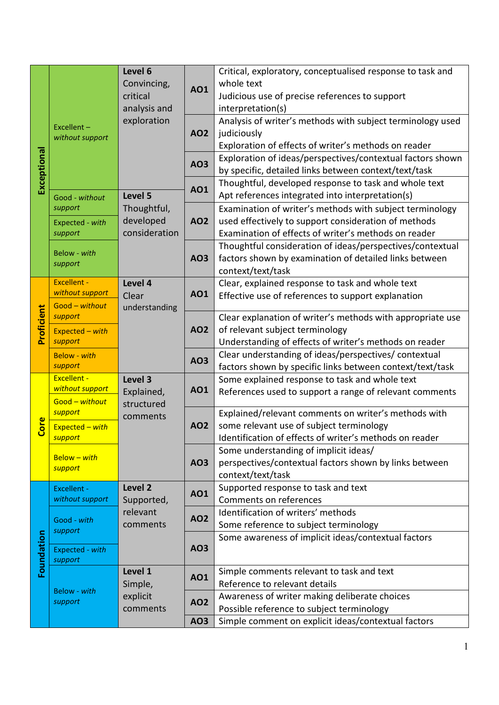|             |                                          | Level 6<br>Convincing,<br>critical<br>analysis and | <b>AO1</b>                             | Critical, exploratory, conceptualised response to task and                                                         |  |
|-------------|------------------------------------------|----------------------------------------------------|----------------------------------------|--------------------------------------------------------------------------------------------------------------------|--|
|             |                                          |                                                    |                                        | whole text                                                                                                         |  |
|             |                                          |                                                    |                                        | Judicious use of precise references to support                                                                     |  |
|             |                                          |                                                    |                                        | interpretation(s)                                                                                                  |  |
|             | Excellent-<br>without support            | exploration                                        |                                        | Analysis of writer's methods with subject terminology used                                                         |  |
|             |                                          |                                                    | <b>AO2</b>                             | judiciously                                                                                                        |  |
|             |                                          |                                                    |                                        | Exploration of effects of writer's methods on reader                                                               |  |
|             |                                          | Level 5                                            |                                        | Exploration of ideas/perspectives/contextual factors shown                                                         |  |
|             |                                          |                                                    | <b>AO3</b><br><b>AO1</b><br><b>AO2</b> | by specific, detailed links between context/text/task                                                              |  |
| Exceptional |                                          |                                                    |                                        |                                                                                                                    |  |
|             |                                          |                                                    |                                        | Thoughtful, developed response to task and whole text                                                              |  |
|             | Good - without                           |                                                    |                                        | Apt references integrated into interpretation(s)                                                                   |  |
|             | support                                  | Thoughtful,<br>developed<br>consideration          |                                        | Examination of writer's methods with subject terminology                                                           |  |
|             | Expected - with                          |                                                    |                                        | used effectively to support consideration of methods                                                               |  |
|             | support                                  |                                                    |                                        | Examination of effects of writer's methods on reader                                                               |  |
|             | Below - with<br>support                  |                                                    | A03                                    | Thoughtful consideration of ideas/perspectives/contextual                                                          |  |
|             |                                          |                                                    |                                        | factors shown by examination of detailed links between                                                             |  |
|             |                                          |                                                    |                                        | context/text/task                                                                                                  |  |
|             | <b>Excellent -</b><br>without support    | Level 4                                            |                                        | Clear, explained response to task and whole text                                                                   |  |
|             |                                          | Clear                                              | <b>AO1</b>                             | Effective use of references to support explanation                                                                 |  |
| Proficient  | Good - without<br>support                | understanding                                      |                                        | Clear explanation of writer's methods with appropriate use                                                         |  |
|             |                                          |                                                    |                                        | of relevant subject terminology                                                                                    |  |
|             | $Expected - with$<br>support             |                                                    | <b>AO2</b>                             | Understanding of effects of writer's methods on reader                                                             |  |
|             |                                          |                                                    | <b>AO3</b>                             |                                                                                                                    |  |
|             | <b>Below</b> - with<br>support           |                                                    |                                        | Clear understanding of ideas/perspectives/ contextual<br>factors shown by specific links between context/text/task |  |
| Core        | <b>Excellent -</b>                       | Level 3                                            |                                        |                                                                                                                    |  |
|             | without support                          | Explained,                                         | <b>AO1</b>                             | Some explained response to task and whole text                                                                     |  |
|             | Good - without                           | structured                                         |                                        | References used to support a range of relevant comments                                                            |  |
|             | support                                  |                                                    |                                        | Explained/relevant comments on writer's methods with                                                               |  |
|             | Expected - with                          | comments                                           | <b>AO2</b>                             | some relevant use of subject terminology                                                                           |  |
|             | support                                  |                                                    |                                        | Identification of effects of writer's methods on reader                                                            |  |
|             |                                          |                                                    |                                        | Some understanding of implicit ideas/                                                                              |  |
|             | <b>Below - with</b>                      |                                                    | <b>AO3</b>                             | perspectives/contextual factors shown by links between                                                             |  |
|             | support                                  |                                                    |                                        | context/text/task                                                                                                  |  |
|             | Level <sub>2</sub><br><b>Excellent -</b> | Supported response to task and text                |                                        |                                                                                                                    |  |
|             | without support                          | Supported,                                         | <b>AO1</b><br><b>AO2</b>               | Comments on references                                                                                             |  |
|             |                                          | relevant<br>comments                               |                                        | Identification of writers' methods                                                                                 |  |
|             | Good - with<br>support                   |                                                    |                                        | Some reference to subject terminology                                                                              |  |
|             |                                          |                                                    |                                        | Some awareness of implicit ideas/contextual factors                                                                |  |
| Foundation  | Expected - with                          |                                                    | <b>AO3</b>                             |                                                                                                                    |  |
|             | support                                  |                                                    |                                        |                                                                                                                    |  |
|             | <b>Below</b> - with<br>support           | Level 1<br>Simple,<br>explicit<br>comments         |                                        | Simple comments relevant to task and text                                                                          |  |
|             |                                          |                                                    | <b>AO1</b>                             | Reference to relevant details                                                                                      |  |
|             |                                          |                                                    | <b>AO2</b><br>A03                      | Awareness of writer making deliberate choices                                                                      |  |
|             |                                          |                                                    |                                        | Possible reference to subject terminology                                                                          |  |
|             |                                          |                                                    |                                        | Simple comment on explicit ideas/contextual factors                                                                |  |
|             |                                          |                                                    |                                        |                                                                                                                    |  |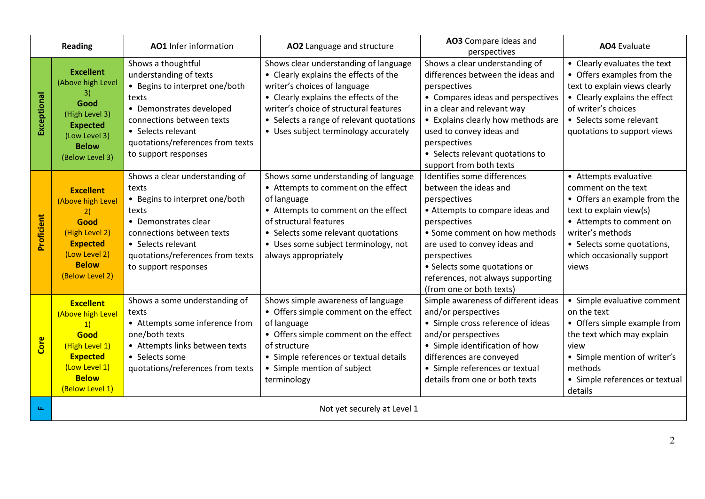| <b>Reading</b>     |                                                                                                                                              | AO1 Infer information                                                                                                                                                                                                              | AO2 Language and structure                                                                                                                                                                                                                                                             | AO3 Compare ideas and<br>perspectives                                                                                                                                                                                                                                                                     | <b>AO4</b> Evaluate                                                                                                                                                                                                          |
|--------------------|----------------------------------------------------------------------------------------------------------------------------------------------|------------------------------------------------------------------------------------------------------------------------------------------------------------------------------------------------------------------------------------|----------------------------------------------------------------------------------------------------------------------------------------------------------------------------------------------------------------------------------------------------------------------------------------|-----------------------------------------------------------------------------------------------------------------------------------------------------------------------------------------------------------------------------------------------------------------------------------------------------------|------------------------------------------------------------------------------------------------------------------------------------------------------------------------------------------------------------------------------|
| <b>Exceptional</b> | <b>Excellent</b><br>(Above high Level<br>3)<br>Good<br>(High Level 3)<br><b>Expected</b><br>(Low Level 3)<br><b>Below</b><br>(Below Level 3) | Shows a thoughtful<br>understanding of texts<br>• Begins to interpret one/both<br>texts<br>• Demonstrates developed<br>connections between texts<br>• Selects relevant<br>quotations/references from texts<br>to support responses | Shows clear understanding of language<br>• Clearly explains the effects of the<br>writer's choices of language<br>• Clearly explains the effects of the<br>writer's choice of structural features<br>• Selects a range of relevant quotations<br>• Uses subject terminology accurately | Shows a clear understanding of<br>differences between the ideas and<br>perspectives<br>• Compares ideas and perspectives<br>in a clear and relevant way<br>• Explains clearly how methods are<br>used to convey ideas and<br>perspectives<br>• Selects relevant quotations to<br>support from both texts  | • Clearly evaluates the text<br>• Offers examples from the<br>text to explain views clearly<br>• Clearly explains the effect<br>of writer's choices<br>• Selects some relevant<br>quotations to support views                |
| Proficient         | <b>Excellent</b><br>(Above high Level<br>2)<br>Good<br>(High Level 2)<br><b>Expected</b><br>(Low Level 2)<br><b>Below</b><br>(Below Level 2) | Shows a clear understanding of<br>texts<br>• Begins to interpret one/both<br>texts<br>• Demonstrates clear<br>connections between texts<br>• Selects relevant<br>quotations/references from texts<br>to support responses          | Shows some understanding of language<br>• Attempts to comment on the effect<br>of language<br>• Attempts to comment on the effect<br>of structural features<br>• Selects some relevant quotations<br>• Uses some subject terminology, not<br>always appropriately                      | Identifies some differences<br>between the ideas and<br>perspectives<br>• Attempts to compare ideas and<br>perspectives<br>• Some comment on how methods<br>are used to convey ideas and<br>perspectives<br>• Selects some quotations or<br>references, not always supporting<br>(from one or both texts) | • Attempts evaluative<br>comment on the text<br>• Offers an example from the<br>text to explain view(s)<br>• Attempts to comment on<br>writer's methods<br>• Selects some quotations,<br>which occasionally support<br>views |
| Core               | <b>Excellent</b><br>(Above high Level<br>1)<br>Good<br>(High Level 1)<br><b>Expected</b><br>(Low Level 1)<br><b>Below</b><br>(Below Level 1) | Shows a some understanding of<br>texts<br>• Attempts some inference from<br>one/both texts<br>• Attempts links between texts<br>• Selects some<br>quotations/references from texts                                                 | Shows simple awareness of language<br>• Offers simple comment on the effect<br>of language<br>• Offers simple comment on the effect<br>of structure<br>• Simple references or textual details<br>• Simple mention of subject<br>terminology                                            | Simple awareness of different ideas<br>and/or perspectives<br>• Simple cross reference of ideas<br>and/or perspectives<br>• Simple identification of how<br>differences are conveyed<br>• Simple references or textual<br>details from one or both texts                                                  | • Simple evaluative comment<br>on the text<br>• Offers simple example from<br>the text which may explain<br>view<br>• Simple mention of writer's<br>methods<br>• Simple references or textual<br>details                     |
| ш.                 | Not yet securely at Level 1                                                                                                                  |                                                                                                                                                                                                                                    |                                                                                                                                                                                                                                                                                        |                                                                                                                                                                                                                                                                                                           |                                                                                                                                                                                                                              |